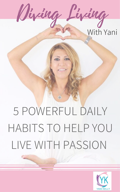## 5 POWERFUL DAILY HABITS TO HELP YOU LIVE WITH PASSION



Diving Living With Yani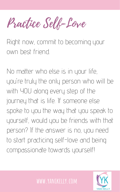## Right now, commit to becoming your own best friend.

No matter who else is in your life, you 're truly the only person who will be with YOU along every step of the journey that is life. If someone else

spoke to you the way that you speak to yourself, would you be friends with that person? If the answer is no, you need to start practicing self-love and being compassionate towards yourself!

## **www.yanikelly.com**



Practice Self-Love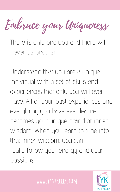There is only one you and there will never be another.

Understand that you are a unique individual with a set of skills and experiences that only you will ever have. All of your past experiences and everything you have ever learned becomes your unique brand of inner wisdom. When you learn to tune into that inner wisdom, you can really follow your energy and your passions.





Embrace your Uniqueness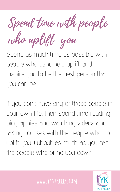people who genuinely uplift and inspire you to be the best person that you can be.

Spend as much time as possible with Spend time with people who uplift you

If you don 't have any of these people in your own life, then spend time reading biographies and watching videos and taking courses with the people who do uplift you. Cut out, as much as you can, the people who bring you down.

## **www.yanikelly.com**

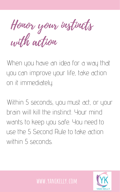When you have an idea for a way that you can improve your life, take action on it immediately.

Within 5 seconds, you must act, or your brain will kill the instinct. Your mind wants to keep you safe. You need to use the 5 Second Rule to take action within 5 seconds.





Honor your instincts with action